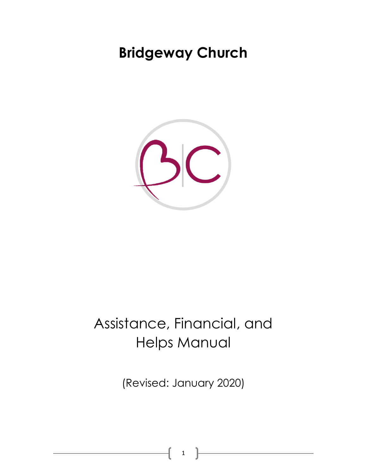# **Bridgeway Church**



# Assistance, Financial, and Helps Manual

(Revised: January 2020)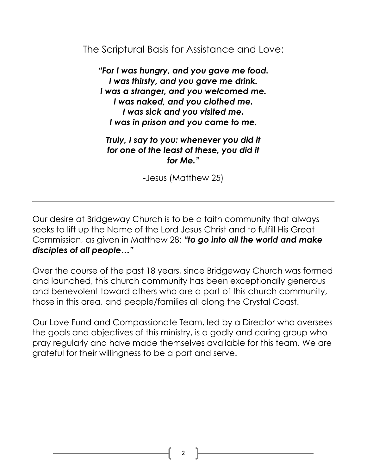The Scriptural Basis for Assistance and Love:

*"For I was hungry, and you gave me food. I was thirsty, and you gave me drink. I was a stranger, and you welcomed me. I was naked, and you clothed me. I was sick and you visited me. I was in prison and you came to me.*

*Truly, I say to you: whenever you did it for one of the least of these, you did it for Me."*

-Jesus (Matthew 25)

Our desire at Bridgeway Church is to be a faith community that always seeks to lift up the Name of the Lord Jesus Christ and to fulfill His Great Commission, as given in Matthew 28: *"to go into all the world and make disciples of all people…"*

Over the course of the past 18 years, since Bridgeway Church was formed and launched, this church community has been exceptionally generous and benevolent toward others who are a part of this church community, those in this area, and people/families all along the Crystal Coast.

Our Love Fund and Compassionate Team, led by a Director who oversees the goals and objectives of this ministry, is a godly and caring group who pray regularly and have made themselves available for this team. We are grateful for their willingness to be a part and serve.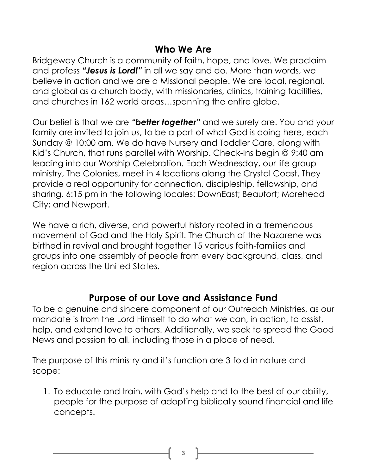#### **Who We Are**

Bridgeway Church is a community of faith, hope, and love. We proclaim and profess *"Jesus is Lord!"* in all we say and do. More than words, we believe in action and we are a Missional people. We are local, regional, and global as a church body, with missionaries, clinics, training facilities, and churches in 162 world areas…spanning the entire globe.

Our belief is that we are *"better together"* and we surely are. You and your family are invited to join us, to be a part of what God is doing here, each Sunday @ 10:00 am. We do have Nursery and Toddler Care, along with Kid's Church, that runs parallel with Worship. Check-Ins begin @ 9:40 am leading into our Worship Celebration. Each Wednesday, our life group ministry, The Colonies, meet in 4 locations along the Crystal Coast. They provide a real opportunity for connection, discipleship, fellowship, and sharing. 6:15 pm in the following locales: DownEast; Beaufort; Morehead City; and Newport.

We have a rich, diverse, and powerful history rooted in a tremendous movement of God and the Holy Spirit. The Church of the Nazarene was birthed in revival and brought together 15 various faith-families and groups into one assembly of people from every background, class, and region across the United States.

#### **Purpose of our Love and Assistance Fund**

To be a genuine and sincere component of our Outreach Ministries, as our mandate is from the Lord Himself to do what we can, in action, to assist, help, and extend love to others. Additionally, we seek to spread the Good News and passion to all, including those in a place of need.

The purpose of this ministry and it's function are 3-fold in nature and scope:

1. To educate and train, with God's help and to the best of our ability, people for the purpose of adopting biblically sound financial and life concepts.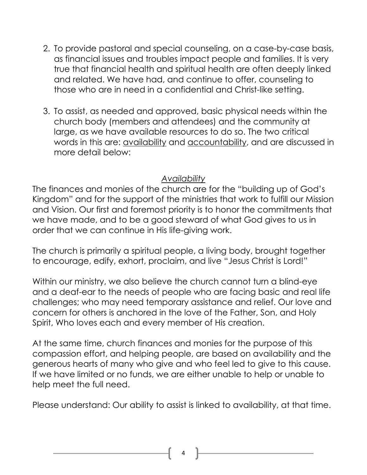- 2. To provide pastoral and special counseling, on a case-by-case basis, as financial issues and troubles impact people and families. It is very true that financial health and spiritual health are often deeply linked and related. We have had, and continue to offer, counseling to those who are in need in a confidential and Christ-like setting.
- 3. To assist, as needed and approved, basic physical needs within the church body (members and attendees) and the community at large, as we have available resources to do so. The two critical words in this are: availability and accountability, and are discussed in more detail below:

#### *Availability*

The finances and monies of the church are for the "building up of God's Kingdom" and for the support of the ministries that work to fulfill our Mission and Vision. Our first and foremost priority is to honor the commitments that we have made, and to be a good steward of what God gives to us in order that we can continue in His life-giving work.

The church is primarily a spiritual people, a living body, brought together to encourage, edify, exhort, proclaim, and live "Jesus Christ is Lord!"

Within our ministry, we also believe the church cannot turn a blind-eye and a deaf-ear to the needs of people who are facing basic and real life challenges; who may need temporary assistance and relief. Our love and concern for others is anchored in the love of the Father, Son, and Holy Spirit, Who loves each and every member of His creation.

At the same time, church finances and monies for the purpose of this compassion effort, and helping people, are based on availability and the generous hearts of many who give and who feel led to give to this cause. If we have limited or no funds, we are either unable to help or unable to help meet the full need.

Please understand: Our ability to assist is linked to availability, at that time.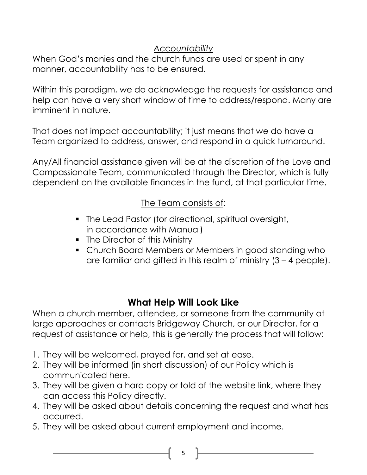#### *Accountability*

When God's monies and the church funds are used or spent in any manner, accountability has to be ensured.

Within this paradigm, we do acknowledge the requests for assistance and help can have a very short window of time to address/respond. Many are imminent in nature.

That does not impact accountability; it just means that we do have a Team organized to address, answer, and respond in a quick turnaround.

Any/All financial assistance given will be at the discretion of the Love and Compassionate Team, communicated through the Director, which is fully dependent on the available finances in the fund, at that particular time.

#### The Team consists of:

- The Lead Pastor (for directional, spiritual oversight, in accordance with Manual)
- **•** The Director of this Ministry
- Church Board Members or Members in good standing who are familiar and gifted in this realm of ministry (3 – 4 people).

### **What Help Will Look Like**

When a church member, attendee, or someone from the community at large approaches or contacts Bridgeway Church, or our Director, for a request of assistance or help, this is generally the process that will follow:

- 1. They will be welcomed, prayed for, and set at ease.
- 2. They will be informed (in short discussion) of our Policy which is communicated here.
- 3. They will be given a hard copy or told of the website link, where they can access this Policy directly.
- 4. They will be asked about details concerning the request and what has occurred.
- 5. They will be asked about current employment and income.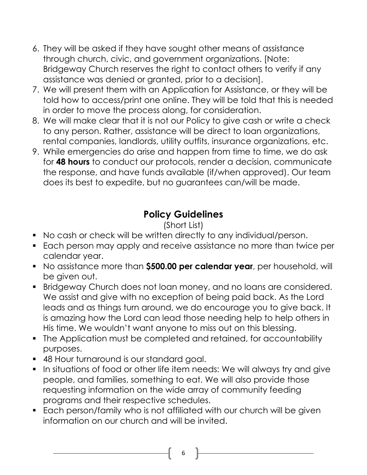- 6. They will be asked if they have sought other means of assistance through church, civic, and government organizations. [Note: Bridgeway Church reserves the right to contact others to verify if any assistance was denied or granted, prior to a decision].
- 7. We will present them with an Application for Assistance, or they will be told how to access/print one online. They will be told that this is needed in order to move the process along, for consideration.
- 8. We will make clear that it is not our Policy to give cash or write a check to any person. Rather, assistance will be direct to loan organizations, rental companies, landlords, utility outfits, insurance organizations, etc.
- 9. While emergencies do arise and happen from time to time, we do ask for **48 hours** to conduct our protocols, render a decision, communicate the response, and have funds available (if/when approved). Our team does its best to expedite, but no guarantees can/will be made.

### **Policy Guidelines**

#### (Short List)

- No cash or check will be written directly to any individual/person.
- Each person may apply and receive assistance no more than twice per calendar year.
- No assistance more than **\$500.00 per calendar year**, per household, will be given out.
- Bridgeway Church does not loan money, and no loans are considered. We assist and give with no exception of being paid back. As the Lord leads and as things turn around, we do encourage you to give back. It is amazing how the Lord can lead those needing help to help others in His time. We wouldn't want anyone to miss out on this blessing.
- The Application must be completed and retained, for accountability purposes.
- 48 Hour turnaround is our standard goal.
- In situations of food or other life item needs: We will always try and give people, and families, something to eat. We will also provide those requesting information on the wide array of community feeding programs and their respective schedules.
- Each person/family who is not affiliated with our church will be given information on our church and will be invited.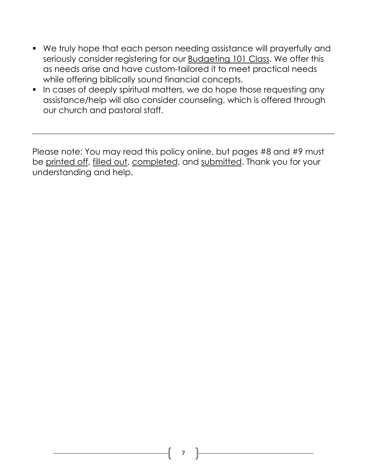- We truly hope that each person needing assistance will prayerfully and seriously consider registering for our Budgeting 101 Class. We offer this as needs arise and have custom-tailored it to meet practical needs while offering biblically sound financial concepts.
- **•** In cases of deeply spiritual matters, we do hope those requesting any assistance/help will also consider counseling, which is offered through our church and pastoral staff.

Please note: You may read this policy online, but pages #8 and #9 must be printed off, filled out, completed, and submitted. Thank you for your understanding and help.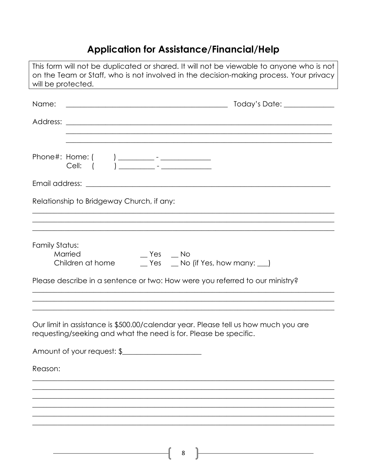## Application for Assistance/Financial/Help

| This form will not be duplicated or shared. It will not be viewable to anyone who is not<br>on the Team or Staff, who is not involved in the decision-making process. Your privacy<br>will be protected. |
|----------------------------------------------------------------------------------------------------------------------------------------------------------------------------------------------------------|
| Name:                                                                                                                                                                                                    |
| ,我们也不能在这里的人,我们也不能在这里的人,我们也不能在这里的人,我们也不能在这里的人,我们也不能在这里的人,我们也不能在这里的人,我们也不能在这里的人,我们也                                                                                                                        |
|                                                                                                                                                                                                          |
|                                                                                                                                                                                                          |
| Relationship to Bridgeway Church, if any:                                                                                                                                                                |
|                                                                                                                                                                                                          |
| Family Status:<br>$Yes$ $No$<br>Married<br>_Yes _Mo (if Yes, how many: _)<br>Children at home<br>Please describe in a sentence or two: How were you referred to our ministry?                            |
| Our limit in assistance is \$500.00/calendar year. Please tell us how much you are<br>requesting/seeking and what the need is for. Please be specific.                                                   |
| Amount of your request: \$                                                                                                                                                                               |
| Reason:                                                                                                                                                                                                  |
|                                                                                                                                                                                                          |
|                                                                                                                                                                                                          |
|                                                                                                                                                                                                          |
|                                                                                                                                                                                                          |